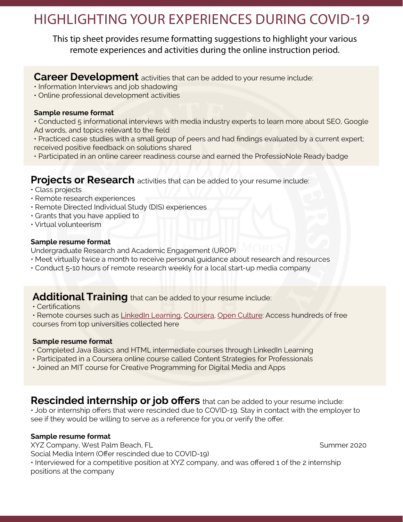# HIGHLIGHTING YOUR EXPERIENCES DURING COVID-19

This tip sheet provides resume formatting suggestions to highlight your various remote experiences and activities during the online instruction period.

### **Career Development** activities that can be added to your resume include:

- Information Interviews and job shadowing
- Online professional development activities

#### **Sample resume format**

- Conducted 5 informational interviews with media industry experts to learn more about SEO, Google Ad words, and topics relevant to the field
- Practiced case studies with a small group of peers and had findings evaluated by a current expert; received positive feedback on solutions shared
- Participated in an online career readiness course and earned the ProfessioNole Ready badge

### **Projects or Research** activities that can be added to your resume include:

- Class projects
- Remote research experiences
- Remote Directed Individual Study (DIS) experiences
- Grants that you have applied to
- Virtual volunteerism

#### **Sample resume format**

Undergraduate Research and Academic Engagement (UROP)

- Meet virtually twice a month to receive personal guidance about research and resources
- Conduct 5-10 hours of remote research weekly for a local start-up media company

# **Additional Training** that can be added to your resume include:

• Certifications

• Remote courses such as [LinkedIn Learning](https://its.fsu.edu/service-catalog/teaching-learning/linkedin-learning), [Coursera,](https://www.coursera.org/) [Open Culture:](http://www.openculture.com/freeonlinecourses) Access hundreds of free courses from top universities collected here

### **Sample resume format**

- Completed Java Basics and HTML intermediate courses through LinkedIn Learning
- Participated in a Coursera online course called Content Strategies for Professionals
- Joined an MIT course for Creative Programming for Digital Media and Apps

**Rescinded internship or job offers** that can be added to your resume include: • Job or internship offers that were rescinded due to COVID-19. Stay in contact with the employer to see if they would be willing to serve as a reference for you or verify the offer.

### **Sample resume format**

XYZ Company, West Palm Beach, FL Summer 2020

Social Media Intern (Offer rescinded due to COVID-19)

• Interviewed for a competitive position at XYZ company, and was offered 1 of the 2 internship positions at the company